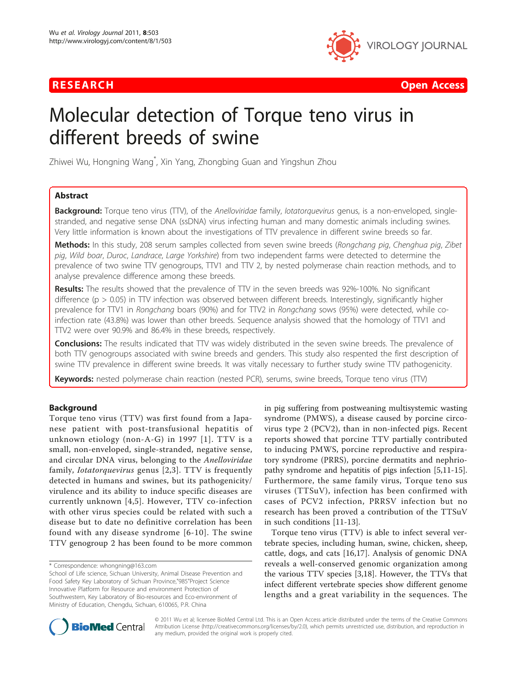

**RESEARCH Open Access CONTRACTES AND ACCESS CONTRACTES AND ACCESS CONTRACTES AND ACCESS** 

# Molecular detection of Torque teno virus in different breeds of swine

Zhiwei Wu, Hongning Wang<sup>\*</sup>, Xin Yang, Zhongbing Guan and Yingshun Zhou

# Abstract

Background: Torque teno virus (TTV), of the Anelloviridae family, lotatorquevirus genus, is a non-enveloped, singlestranded, and negative sense DNA (ssDNA) virus infecting human and many domestic animals including swines. Very little information is known about the investigations of TTV prevalence in different swine breeds so far.

Methods: In this study, 208 serum samples collected from seven swine breeds (Rongchang pig, Chenghua pig, Zibet pig, Wild boar, Duroc, Landrace, Large Yorkshire) from two independent farms were detected to determine the prevalence of two swine TTV genogroups, TTV1 and TTV 2, by nested polymerase chain reaction methods, and to analyse prevalence difference among these breeds.

Results: The results showed that the prevalence of TTV in the seven breeds was 92%-100%. No significant difference ( $p > 0.05$ ) in TTV infection was observed between different breeds. Interestingly, significantly higher prevalence for TTV1 in Rongchang boars (90%) and for TTV2 in Rongchang sows (95%) were detected, while coinfection rate (43.8%) was lower than other breeds. Sequence analysis showed that the homology of TTV1 and TTV2 were over 90.9% and 86.4% in these breeds, respectively.

**Conclusions:** The results indicated that TTV was widely distributed in the seven swine breeds. The prevalence of both TTV genogroups associated with swine breeds and genders. This study also respented the first description of swine TTV prevalence in different swine breeds. It was vitally necessary to further study swine TTV pathogenicity.

Keywords: nested polymerase chain reaction (nested PCR), serums, swine breeds, Torque teno virus (TTV)

# Background

Torque teno virus (TTV) was first found from a Japanese patient with post-transfusional hepatitis of unknown etiology (non-A-G) in 1997 [[1](#page-5-0)]. TTV is a small, non-enveloped, single-stranded, negative sense, and circular DNA virus, belonging to the Anelloviridae family, Iotatorquevirus genus [[2](#page-5-0),[3\]](#page-6-0). TTV is frequently detected in humans and swines, but its pathogenicity/ virulence and its ability to induce specific diseases are currently unknown [\[4,5](#page-6-0)]. However, TTV co-infection with other virus species could be related with such a disease but to date no definitive correlation has been found with any disease syndrome [[6](#page-6-0)-[10\]](#page-6-0). The swine TTV genogroup 2 has been found to be more common

in pig suffering from postweaning multisystemic wasting syndrome (PMWS), a disease caused by porcine circovirus type 2 (PCV2), than in non-infected pigs. Recent reports showed that porcine TTV partially contributed to inducing PMWS, porcine reproductive and respiratory syndrome (PRRS), porcine dermatits and nephriopathy syndrome and hepatitis of pigs infection [\[5,11-15](#page-6-0)]. Furthermore, the same family virus, Torque teno sus viruses (TTSuV), infection has been confirmed with cases of PCV2 infection, PRRSV infection but no research has been proved a contribution of the TTSuV in such conditions [[11-13\]](#page-6-0).

Torque teno virus (TTV) is able to infect several vertebrate species, including human, swine, chicken, sheep, cattle, dogs, and cats [\[16](#page-6-0),[17\]](#page-6-0). Analysis of genomic DNA reveals a well-conserved genomic organization among the various TTV species [[3,18\]](#page-6-0). However, the TTVs that infect different vertebrate species show different genome lengths and a great variability in the sequences. The



© 2011 Wu et al; licensee BioMed Central Ltd. This is an Open Access article distributed under the terms of the Creative Commons Attribution License [\(http://creativecommons.org/licenses/by/2.0](http://creativecommons.org/licenses/by/2.0)), which permits unrestricted use, distribution, and reproduction in any medium, provided the original work is properly cited.

<sup>\*</sup> Correspondence: [whongning@163.com](mailto:whongning@163.com)

School of Life science, Sichuan University, Animal Disease Prevention and Food Safety Key Laboratory of Sichuan Province,"985"Project Science Innovative Platform for Resource and environment Protection of Southwestern, Key Laboratory of Bio-resources and Eco-environment of Ministry of Education, Chengdu, Sichuan, 610065, P.R. China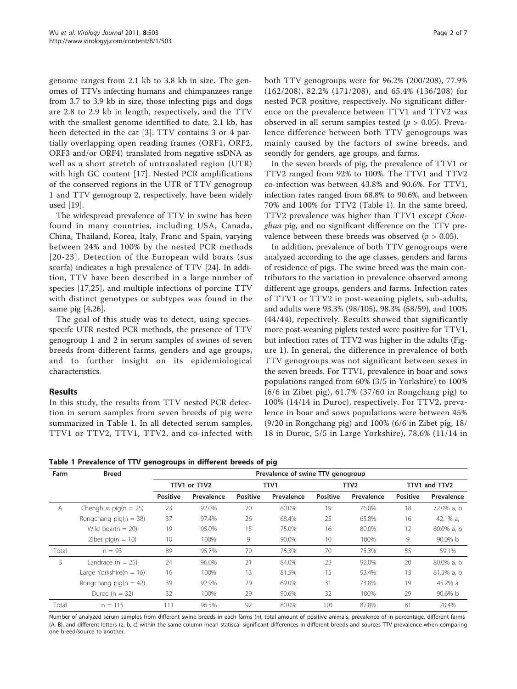<span id="page-1-0"></span>genome ranges from 2.1 kb to 3.8 kb in size. The genomes of TTVs infecting humans and chimpanzees range from 3.7 to 3.9 kb in size, those infecting pigs and dogs are 2.8 to 2.9 kb in length, respectively, and the TTV with the smallest genome identified to date, 2.1 kb, has been detected in the cat [[3\]](#page-6-0). TTV contains 3 or 4 partially overlapping open reading frames (ORF1, ORF2, ORF3 and/or ORF4) translated from negative ssDNA as well as a short stretch of untranslated region (UTR) with high GC content [\[17](#page-6-0)]. Nested PCR amplifications of the conserved regions in the UTR of TTV genogroup 1 and TTV genogroup 2, respectively, have been widely used [[19](#page-6-0)].

The widespread prevalence of TTV in swine has been found in many countries, including USA, Canada, China, Thailand, Korea, Italy, Franc and Spain, varying between 24% and 100% by the nested PCR methods [[20](#page-6-0)-[23\]](#page-6-0). Detection of the European wild boars (sus scorfa) indicates a high prevalence of TTV [\[24](#page-6-0)]. In addition, TTV have been described in a large number of species [\[17,25\]](#page-6-0), and multiple infections of porcine TTV with distinct genotypes or subtypes was found in the same pig [\[4,26](#page-6-0)].

The goal of this study was to detect, using speciesspecifc UTR nested PCR methods, the presence of TTV genogroup 1 and 2 in serum samples of swines of seven breeds from different farms, genders and age groups, and to further insight on its epidemiological characteristics.

# Results

In this study, the results from TTV nested PCR detection in serum samples from seven breeds of pig were summarized in Table 1. In all detected serum samples, TTV1 or TTV2, TTV1, TTV2, and co-infected with both TTV genogroups were for 96.2% (200/208), 77.9% (162/208), 82.2% (171/208), and 65.4% (136/208) for nested PCR positive, respectively. No significant difference on the prevalence between TTV1 and TTV2 was observed in all serum samples tested ( $p > 0.05$ ). Prevalence difference between both TTV genogroups was mainly caused by the factors of swine breeds, and seondly for genders, age groups, and farms.

In the seven breeds of pig, the prevalence of TTV1 or TTV2 ranged from 92% to 100%. The TTV1 and TTV2 co-infection was between 43.8% and 90.6%. For TTV1, infection rates ranged from 68.8% to 90.6%, and between 70% and 100% for TTV2 (Table 1). In the same breed, TTV2 prevalence was higher than TTV1 except Chenghua pig, and no significant difference on the TTV prevalence between these breeds was observed ( $\rho > 0.05$ ).

In addition, prevalence of both TTV genogroups were analyzed according to the age classes, genders and farms of residence of pigs. The swine breed was the main contributors to the variation in prevalence observed among different age groups, genders and farms. Infection rates of TTV1 or TTV2 in post-weaning piglets, sub-adults, and adults were 93.3% (98/105), 98.3% (58/59), and 100% (44/44), repectively. Results showed that significantly more post-weaning piglets tested were positive for TTV1, but infection rates of TTV2 was higher in the adults (Figure [1](#page-2-0)). In general, the difference in prevalence of both TTV genogroups was not significant between sexes in the seven breeds. For TTV1, prevalence in boar and sows populations ranged from 60% (3/5 in Yorkshire) to 100% (6/6 in Zibet pig), 61.7% (37/60 in Rongchang pig) to 100% (14/14 in Duroc), respectively. For TTV2, prevalence in boar and sows populations were between 45% (9/20 in Rongchang pig) and 100% (6/6 in Zibet pig, 18/ 18 in Duroc, 5/5 in Large Yorkshire), 78.6% (11/14 in

Table 1 Prevalence of TTV genogroups in different breeds of pig

| Farm  | <b>Breed</b>                | Prevalence of swine TTV genogroup |              |                 |            |                 |                  |          |               |  |
|-------|-----------------------------|-----------------------------------|--------------|-----------------|------------|-----------------|------------------|----------|---------------|--|
|       |                             |                                   | TTV1 or TTV2 |                 | TTV1       |                 | TTV <sub>2</sub> |          | TTV1 and TTV2 |  |
|       |                             | Positive                          | Prevalence   | <b>Positive</b> | Prevalence | <b>Positive</b> | Prevalence       | Positive | Prevalence    |  |
| A     | Chenghua pig( $n = 25$ )    | 23                                | 92.0%        | 20              | 80.0%      | 19              | 76.0%            | 18       | 72.0% a, b    |  |
|       | Rongchang pig( $n = 38$ )   | 37                                | 97.4%        | 26              | 68.4%      | 25              | 65.8%            | 16       | 42.1% $a$ ,   |  |
|       | Wild boar( $n = 20$ )       | 19                                | 95.0%        | 15              | 75.0%      | 16              | 80.0%            | 12       | 60.0% a, b    |  |
|       | Zibet pig( $n = 10$ )       | 10 <sup>°</sup>                   | 100%         | 9               | 90.0%      | 10 <sup>°</sup> | 100%             | 9        | 90.0% b       |  |
| Total | $n = 93$                    | 89                                | 95.7%        | 70              | 75.3%      | 70              | 75.3%            | 55       | 59.1%         |  |
| B     | Landrace $(n = 25)$         | 24                                | 96.0%        | 21              | 84.0%      | 23              | 92.0%            | 20       | 80.0% a, b    |  |
|       | Large Yorkshire( $n = 16$ ) | 16                                | 100%         | 13              | 81.5%      | 15              | 93.4%            | 13       | 81.5% a, b    |  |
|       | Rongchang pig( $n = 42$ )   | 39                                | 92.9%        | 29              | 69.0%      | 31              | 73.8%            | 19       | 45.2% a       |  |
|       | Duroc ( $n = 32$ )          | 32                                | 100%         | 29              | 90.6%      | 32              | 100%             | 29       | $90.6\%$ b    |  |
| Total | $n = 115$                   | 111                               | 96.5%        | 92              | 80.0%      | 101             | 87.8%            | 81       | 70.4%         |  |

Number of analyzed serum samples from different swine breeds in each farms (n), total amount of positive animals, prevalence of in percentage, different farms (A, B), and different letters (a, b, c) within the same column mean statiscal significant differences in different breeds and sources TTV prevalence when comparing one breed/source to another.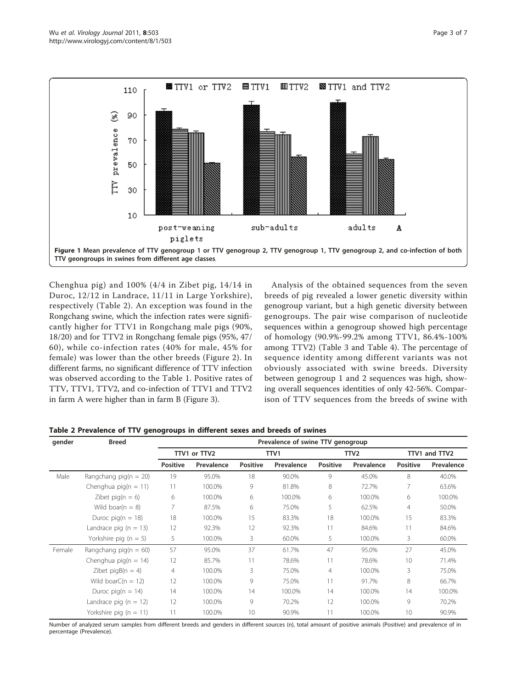<span id="page-2-0"></span>

Chenghua pig) and 100% (4/4 in Zibet pig, 14/14 in Duroc, 12/12 in Landrace, 11/11 in Large Yorkshire), respectively (Table 2). An exception was found in the Rongchang swine, which the infection rates were significantly higher for TTV1 in Rongchang male pigs (90%, 18/20) and for TTV2 in Rongchang female pigs (95%, 47/ 60), while co-infection rates (40% for male, 45% for female) was lower than the other breeds (Figure [2\)](#page-3-0). In different farms, no significant difference of TTV infection was observed according to the Table [1.](#page-1-0) Positive rates of TTV, TTV1, TTV2, and co-infection of TTV1 and TTV2 in farm A were higher than in farm B (Figure [3\)](#page-3-0).

Analysis of the obtained sequences from the seven breeds of pig revealed a lower genetic diversity within genogroup variant, but a high genetic diversity between genogroups. The pair wise comparison of nucleotide sequences within a genogroup showed high percentage of homology (90.9%-99.2% among TTV1, 86.4%-100% among TTV2) (Table [3](#page-4-0) and Table [4\)](#page-4-0). The percentage of sequence identity among different variants was not obviously associated with swine breeds. Diversity between genogroup 1 and 2 sequences was high, showing overall sequences identities of only 42-56%. Comparison of TTV sequences from the breeds of swine with

Table 2 Prevalence of TTV genogroups in different sexes and breeds of swines

| gender | <b>Breed</b>              | Prevalence of swine TTV genogroup |            |          |            |                 |            |                 |            |
|--------|---------------------------|-----------------------------------|------------|----------|------------|-----------------|------------|-----------------|------------|
|        |                           | TTV1 or TTV2                      |            | TTV1     |            | TTV2            |            | TTV1 and TTV2   |            |
|        |                           | <b>Positive</b>                   | Prevalence | Positive | Prevalence | <b>Positive</b> | Prevalence | <b>Positive</b> | Prevalence |
| Male   | Rangchang pig( $n = 20$ ) | 19                                | 95.0%      | 18       | 90.0%      | 9               | 45.0%      | 8               | 40.0%      |
|        | Chenghua pig( $n = 11$ )  | 11                                | 100.0%     | 9        | 81.8%      | 8               | 72.7%      | 7               | 63.6%      |
|        | Zibet pig( $n = 6$ )      | 6                                 | 100.0%     | 6        | 100.0%     | 6               | 100.0%     | 6               | 100.0%     |
|        | Wild boar( $n = 8$ )      | 7                                 | 87.5%      | 6        | 75.0%      | 5               | 62.5%      | $\overline{4}$  | 50.0%      |
|        | Duroc pig( $n = 18$ )     | 18                                | 100.0%     | 15       | 83.3%      | 18              | 100.0%     | 15              | 83.3%      |
|        | Landrace pig $(n = 13)$   | 12                                | 92.3%      | 12       | 92.3%      | 11              | 84.6%      | 11              | 84.6%      |
|        | Yorkshire pig ( $n = 5$ ) | 5                                 | 100.0%     | 3        | 60.0%      | 5               | 100.0%     | 3               | 60.0%      |
| Female | Rangchang pig( $n = 60$ ) | 57                                | 95.0%      | 37       | 61.7%      | 47              | 95.0%      | 27              | 45.0%      |
|        | Chenghua pig( $n = 14$ )  | 12                                | 85.7%      | 11       | 78.6%      | 11              | 78.6%      | 10              | 71.4%      |
|        | Zibet pig $B(n = 4)$      | 4                                 | 100.0%     | 3        | 75.0%      | $\overline{4}$  | 100.0%     | 3               | 75.0%      |
|        | Wild boarC( $n = 12$ )    | 12                                | 100.0%     | 9        | 75.0%      | 11              | 91.7%      | 8               | 66.7%      |
|        | Duroc pig( $n = 14$ )     | 14                                | 100.0%     | 14       | 100.0%     | 14              | 100.0%     | 14              | 100.0%     |
|        | Landrace pig $(n = 12)$   | 12                                | 100.0%     | 9        | 70.2%      | 12              | 100.0%     | 9               | 70.2%      |
|        | Yorkshire pig $(n = 11)$  | 11                                | 100.0%     | 10       | 90.9%      | 11              | 100.0%     | 10              | 90.9%      |

Number of analyzed serum samples from different breeds and genders in different sources (n), total amount of positive animals (Positive) and prevalence of in percentage (Prevalence).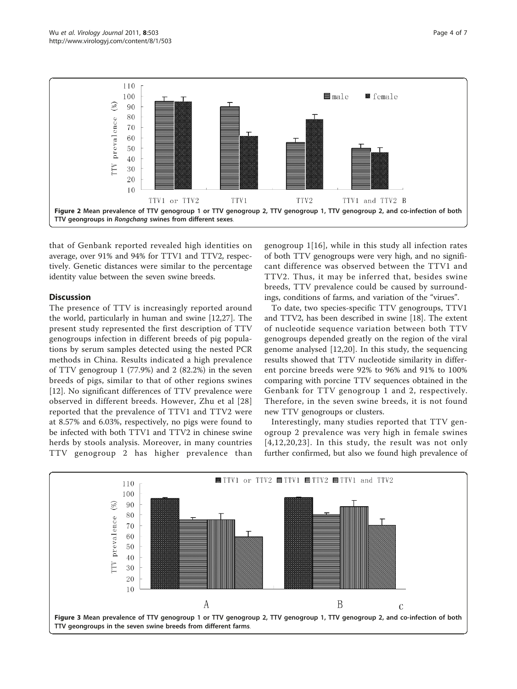<span id="page-3-0"></span>

that of Genbank reported revealed high identities on average, over 91% and 94% for TTV1 and TTV2, respectively. Genetic distances were similar to the percentage identity value between the seven swine breeds.

# Discussion

The presence of TTV is increasingly reported around the world, particularly in human and swine [[12](#page-6-0),[27\]](#page-6-0). The present study represented the first description of TTV genogroups infection in different breeds of pig populations by serum samples detected using the nested PCR methods in China. Results indicated a high prevalence of TTV genogroup 1 (77.9%) and 2 (82.2%) in the seven breeds of pigs, similar to that of other regions swines [[12\]](#page-6-0). No significant differences of TTV prevalence were observed in different breeds. However, Zhu et al [[28](#page-6-0)] reported that the prevalence of TTV1 and TTV2 were at 8.57% and 6.03%, respectively, no pigs were found to be infected with both TTV1 and TTV2 in chinese swine herds by stools analysis. Moreover, in many countries TTV genogroup 2 has higher prevalence than genogroup 1[[16\]](#page-6-0), while in this study all infection rates of both TTV genogroups were very high, and no significant difference was observed between the TTV1 and TTV2. Thus, it may be inferred that, besides swine breeds, TTV prevalence could be caused by surroundings, conditions of farms, and variation of the "virues".

To date, two species-specific TTV genogroups, TTV1 and TTV2, has been described in swine [\[18](#page-6-0)]. The extent of nucleotide sequence variation between both TTV genogroups depended greatly on the region of the viral genome analysed [[12,20](#page-6-0)]. In this study, the sequencing results showed that TTV nucleotide similarity in different porcine breeds were 92% to 96% and 91% to 100% comparing with porcine TTV sequences obtained in the Genbank for TTV genogroup 1 and 2, respectively. Therefore, in the seven swine breeds, it is not found new TTV genogroups or clusters.

Interestingly, many studies reported that TTV genogroup 2 prevalence was very high in female swines  $[4,12,20,23]$  $[4,12,20,23]$  $[4,12,20,23]$  $[4,12,20,23]$  $[4,12,20,23]$  $[4,12,20,23]$ . In this study, the result was not only further confirmed, but also we found high prevalence of

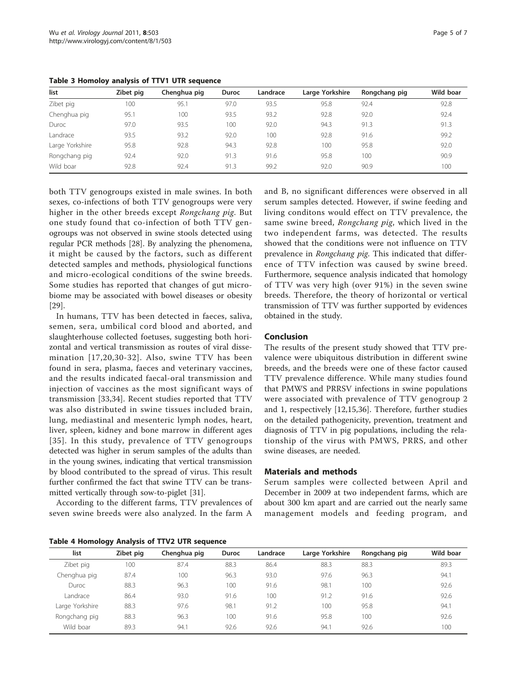| list            | Zibet pig | Chenghua pig | <b>Duroc</b> | Landrace | Large Yorkshire | Rongchang pig | Wild boar |
|-----------------|-----------|--------------|--------------|----------|-----------------|---------------|-----------|
| Zibet pig       | 100       | 95.1         | 97.0         | 93.5     | 95.8            | 92.4          | 92.8      |
| Chenghua pig    | 95.1      | 100          | 93.5         | 93.2     | 92.8            | 92.0          | 92.4      |
| Duroc           | 97.0      | 93.5         | 100          | 92.0     | 94.3            | 91.3          | 91.3      |
| Landrace        | 93.5      | 93.2         | 92.0         | 100      | 92.8            | 91.6          | 99.2      |
| Large Yorkshire | 95.8      | 92.8         | 94.3         | 92.8     | 100             | 95.8          | 92.0      |
| Rongchang pig   | 92.4      | 92.0         | 91.3         | 91.6     | 95.8            | 100           | 90.9      |
| Wild boar       | 92.8      | 92.4         | 91.3         | 99.2     | 92.0            | 90.9          | 100       |

<span id="page-4-0"></span>Table 3 Homoloy analysis of TTV1 UTR sequence

both TTV genogroups existed in male swines. In both sexes, co-infections of both TTV genogroups were very higher in the other breeds except Rongchang pig. But one study found that co-infection of both TTV genogroups was not observed in swine stools detected using regular PCR methods [\[28](#page-6-0)]. By analyzing the phenomena, it might be caused by the factors, such as different detected samples and methods, physiological functions and micro-ecological conditions of the swine breeds. Some studies has reported that changes of gut microbiome may be associated with bowel diseases or obesity [[29\]](#page-6-0).

In humans, TTV has been detected in faeces, saliva, semen, sera, umbilical cord blood and aborted, and slaughterhouse collected foetuses, suggesting both horizontal and vertical transmission as routes of viral dissemination [[17,20](#page-6-0),[30-32](#page-6-0)]. Also, swine TTV has been found in sera, plasma, faeces and veterinary vaccines, and the results indicated faecal-oral transmission and injection of vaccines as the most significant ways of transmission [\[33](#page-6-0),[34\]](#page-6-0). Recent studies reported that TTV was also distributed in swine tissues included brain, lung, mediastinal and mesenteric lymph nodes, heart, liver, spleen, kidney and bone marrow in different ages [[35](#page-6-0)]. In this study, prevalence of TTV genogroups detected was higher in serum samples of the adults than in the young swines, indicating that vertical transmission by blood contributed to the spread of virus. This result further confirmed the fact that swine TTV can be transmitted vertically through sow-to-piglet [[31](#page-6-0)].

According to the different farms, TTV prevalences of seven swine breeds were also analyzed. In the farm A

and B, no significant differences were observed in all serum samples detected. However, if swine feeding and living conditons would effect on TTV prevalence, the same swine breed, Rongchang pig, which lived in the two independent farms, was detected. The results showed that the conditions were not influence on TTV prevalence in Rongchang pig. This indicated that difference of TTV infection was caused by swine breed. Furthermore, sequence analysis indicated that homology of TTV was very high (over 91%) in the seven swine breeds. Therefore, the theory of horizontal or vertical transmission of TTV was further supported by evidences obtained in the study.

## Conclusion

The results of the present study showed that TTV prevalence were ubiquitous distribution in different swine breeds, and the breeds were one of these factor caused TTV prevalence difference. While many studies found that PMWS and PRRSV infections in swine populations were associated with prevalence of TTV genogroup 2 and 1, respectively [\[12](#page-6-0),[15,36\]](#page-6-0). Therefore, further studies on the detailed pathogenicity, prevention, treatment and diagnosis of TTV in pig populations, including the relationship of the virus with PMWS, PRRS, and other swine diseases, are needed.

#### Materials and methods

Serum samples were collected between April and December in 2009 at two independent farms, which are about 300 km apart and are carried out the nearly same management models and feeding program, and

| Table 4 Homology Analysis of TTV2 UTR sequence |  |  |  |
|------------------------------------------------|--|--|--|
|                                                |  |  |  |

| list            | Zibet pig | Chenghua pig | <b>Duroc</b> | Landrace | Large Yorkshire | Rongchang pig | Wild boar |
|-----------------|-----------|--------------|--------------|----------|-----------------|---------------|-----------|
| Zibet pig       | 100       | 87.4         | 88.3         | 86.4     | 88.3            | 88.3          | 89.3      |
| Chenghua pig    | 87.4      | 100          | 96.3         | 93.0     | 97.6            | 96.3          | 94.1      |
| Duroc           | 88.3      | 96.3         | 100          | 91.6     | 98.1            | 100           | 92.6      |
| Landrace        | 86.4      | 93.0         | 91.6         | 100      | 91.2            | 91.6          | 92.6      |
| Large Yorkshire | 88.3      | 97.6         | 98.1         | 91.2     | 100             | 95.8          | 94.1      |
| Rongchang pig   | 88.3      | 96.3         | 100          | 91.6     | 95.8            | 100           | 92.6      |
| Wild boar       | 89.3      | 94.1         | 92.6         | 92.6     | 94.1            | 92.6          | 100       |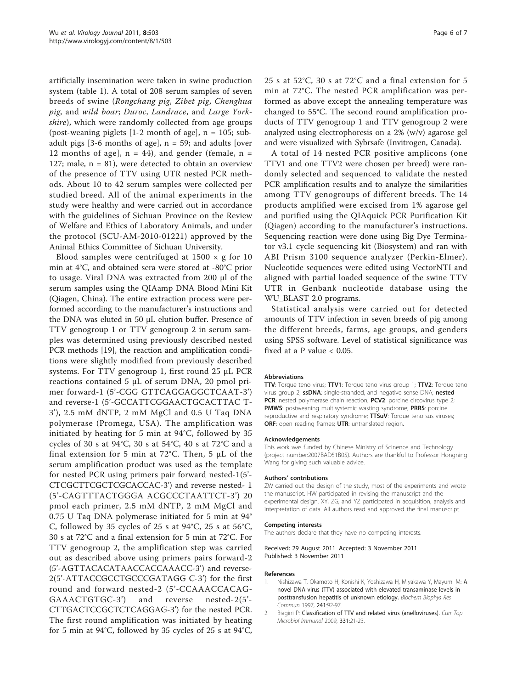<span id="page-5-0"></span>artificially insemination were taken in swine production system (table [1\)](#page-1-0). A total of 208 serum samples of seven breeds of swine (Rongchang pig, Zibet pig, Chenghua pig, and wild boar; Duroc, Landrace, and Large Yorkshire), which were randomly collected from age groups (post-weaning piglets  $[1-2 \text{ month of age}]$ , n = 105; subadult pigs [3-6 months of age],  $n = 59$ ; and adults [over 12 months of age],  $n = 44$ ), and gender (female,  $n =$ 127; male,  $n = 81$ ), were detected to obtain an overview of the presence of TTV using UTR nested PCR methods. About 10 to 42 serum samples were collected per studied breed. All of the animal experiments in the study were healthy and were carried out in accordance with the guidelines of Sichuan Province on the Review of Welfare and Ethics of Laboratory Animals, and under the protocol (SCU-AM-2010-01221) approved by the Animal Ethics Committee of Sichuan University.

Blood samples were centrifuged at  $1500 \times g$  for  $10$ min at 4°C, and obtained sera were stored at -80°C prior to usage. Viral DNA was extracted from 200 μl of the serum samples using the QIAamp DNA Blood Mini Kit (Qiagen, China). The entire extraction process were performed according to the manufacturer's instructions and the DNA was eluted in 50 μL elution buffer. Presence of TTV genogroup 1 or TTV genogroup 2 in serum samples was determined using previously described nested PCR methods [\[19](#page-6-0)], the reaction and amplification conditions were slightly modified from previously described systems. For TTV genogroup 1, first round 25 μL PCR reactions contained 5 μL of serum DNA, 20 pmol primer forward-1 (5'-CGG GTTCAGGAGGCTCAAT-3') and reverse-1 (5'-GCCATTCGGAACTGCACTTAC T-3'), 2.5 mM dNTP, 2 mM MgCl and 0.5 U Taq DNA polymerase (Promega, USA). The amplification was initiated by heating for 5 min at 94°C, followed by 35 cycles of 30 s at 94°C, 30 s at 54°C, 40 s at 72°C and a final extension for 5 min at 72°C. Then, 5  $\mu$ L of the serum amplification product was used as the template for nested PCR using primers pair forward nested-1(5'- CTCGCTTCGCTCGCACCAC-3') and reverse nested- 1 (5'-CAGTTTACTGGGA ACGCCCTAATTCT-3') 20 pmol each primer, 2.5 mM dNTP, 2 mM MgCl and 0.75 U Taq DNA polymerase initiated for 5 min at 94° C, followed by 35 cycles of 25 s at 94°C, 25 s at 56°C, 30 s at 72°C and a final extension for 5 min at 72°C. For TTV genogroup 2, the amplification step was carried out as described above using primers pairs forward-2 (5'-AGTTACACATAACCACCAAACC-3') and reverse-2(5'-ATTACCGCCTGCCCGATAGG C-3') for the first round and forward nested-2 (5'-CCAAACCACAG-GAAACTGTGC-3') and reverse nested-2(5'- CTTGACTCCGCTCTCAGGAG-3') for the nested PCR. The first round amplification was initiated by heating for 5 min at 94°C, followed by 35 cycles of 25 s at 94°C, 25 s at 52°C, 30 s at 72°C and a final extension for 5 min at 72°C. The nested PCR amplification was performed as above except the annealing temperature was changed to 55°C. The second round amplification products of TTV genogroup 1 and TTV genogroup 2 were analyzed using electrophoresis on a 2% (w/v) agarose gel and were visualized with Sybrsafe (Invitrogen, Canada).

A total of 14 nested PCR positive amplicons (one TTV1 and one TTV2 were chosen per breed) were randomly selected and sequenced to validate the nested PCR amplification results and to analyze the similarities among TTV genogroups of different breeds. The 14 products amplified were excised from 1% agarose gel and purified using the QIAquick PCR Purification Kit (Qiagen) according to the manufacturer's instructions. Sequencing reaction were done using Big Dye Terminator v3.1 cycle sequencing kit (Biosystem) and ran with ABI Prism 3100 sequence analyzer (Perkin-Elmer). Nucleotide sequences were edited using VectorNTI and aligned with partial loaded sequence of the swine TTV UTR in Genbank nucleotide database using the WU\_BLAST 2.0 programs.

Statistical analysis were carried out for detected amounts of TTV infection in seven breeds of pig among the different breeds, farms, age groups, and genders using SPSS software. Level of statistical significance was fixed at a P value  $< 0.05$ .

#### Abbreviations

TTV: Torque teno virus; TTV1: Torque teno virus group 1; TTV2: Torque teno virus group 2; **ssDNA**: single-stranded, and negative sense DNA; nested PCR: nested polymerase chain reaction; PCV2: porcine circovirus type 2; PMWS: postweaning multisystemic wasting syndrome; PRRS: porcine reproductive and respiratory syndrome; TTSuV: Torque teno sus viruses; ORF: open reading frames; UTR: untranslated region.

#### Acknowledgements

This work was funded by Chinese Ministry of Scinence and Technology (project number:2007BAD51B05). Authors are thankful to Professor Hongning Wang for giving such valuable advice.

#### Authors' contributions

ZW carried out the design of the study, most of the experiments and wrote the manuscript. HW participated in revising the manuscript and the experimental design. XY, ZG, and YZ participated in acquisition, analysis and interpretation of data. All authors read and approved the final manuscript.

#### Competing interests

The authors declare that they have no competing interests.

Received: 29 August 2011 Accepted: 3 November 2011 Published: 3 November 2011

#### References

- Nishizawa T, Okamoto H, Konishi K, Yoshizawa H, Miyakawa Y, Mayumi M: [A](http://www.ncbi.nlm.nih.gov/pubmed/9405239?dopt=Abstract) [novel DNA virus \(TTV\) associated with elevated transaminase levels in](http://www.ncbi.nlm.nih.gov/pubmed/9405239?dopt=Abstract) [posttransfusion hepatitis of unknown etiology.](http://www.ncbi.nlm.nih.gov/pubmed/9405239?dopt=Abstract) Biochem Biophys Res Commun 1997, 241:92-97.
- 2. Biagini P: [Classification of TTV and related virus \(anelloviruses\).](http://www.ncbi.nlm.nih.gov/pubmed/19230555?dopt=Abstract) Curr Top Microbiol Immunol 2009, 331:21-23.